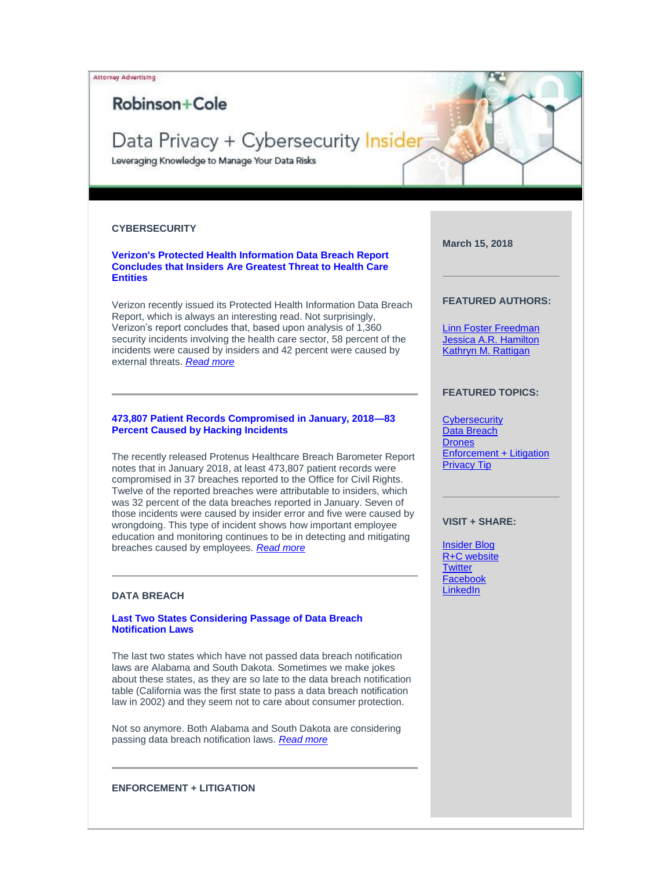Attorney Advertising

## Robinson+Cole

# Data Privacy + Cybersecurity Insider

Leveraging Knowledge to Manage Your Data Risks

## <span id="page-0-0"></span>**CYBERSECURITY**

## **[Verizon's Protected Health Information Data Breach Report](https://protect-us.mimecast.com/s/vjbaCM8Xq6HG7wws00ea9?domain=t2806904.omkt.co)  [Concludes that Insiders Are Greatest Threat to Health Care](https://protect-us.mimecast.com/s/vjbaCM8Xq6HG7wws00ea9?domain=t2806904.omkt.co)  [Entities](https://protect-us.mimecast.com/s/vjbaCM8Xq6HG7wws00ea9?domain=t2806904.omkt.co)**

Verizon recently issued its Protected Health Information Data Breach Report, which is always an interesting read. Not surprisingly, Verizon's report concludes that, based upon analysis of 1,360 security incidents involving the health care sector, 58 percent of the incidents were caused by insiders and 42 percent were caused by external threats. *[Read more](https://protect-us.mimecast.com/s/m33HCNkGrRC1zOOIJOrx0?domain=t2806904.omkt.co)*

#### **[473,807 Patient Records Compromised in January, 2018—83](https://protect-us.mimecast.com/s/B46VCOYGvRfoM77IZIyqE?domain=t2806904.omkt.co)  [Percent Caused by Hacking Incidents](https://protect-us.mimecast.com/s/B46VCOYGvRfoM77IZIyqE?domain=t2806904.omkt.co)**

The recently released Protenus Healthcare Breach Barometer Report notes that in January 2018, at least 473,807 patient records were compromised in 37 breaches reported to the Office for Civil Rights. Twelve of the reported breaches were attributable to insiders, which was 32 percent of the data breaches reported in January. Seven of those incidents were caused by insider error and five were caused by wrongdoing. This type of incident shows how important employee education and monitoring continues to be in detecting and mitigating breaches caused by employees. *[Read more](https://protect-us.mimecast.com/s/QKc4CPNGw8CqPjjsoKGQT?domain=t2806904.omkt.co)*

## <span id="page-0-1"></span>**DATA BREACH**

## **[Last Two States Considering Passage of Data Breach](https://protect-us.mimecast.com/s/sXliCQWXxRfmY22F4Zcah?domain=t2806904.omkt.co)  [Notification Laws](https://protect-us.mimecast.com/s/sXliCQWXxRfmY22F4Zcah?domain=t2806904.omkt.co)**

The last two states which have not passed data breach notification laws are Alabama and South Dakota. Sometimes we make jokes about these states, as they are so late to the data breach notification table (California was the first state to pass a data breach notification law in 2002) and they seem not to care about consumer protection.

Not so anymore. Both Alabama and South Dakota are considering passing data breach notification laws. *[Read more](https://protect-us.mimecast.com/s/FC13CR6Xy7f8xMMs8oBOO?domain=t2806904.omkt.co)*

**March 15, 2018**

## **FEATURED AUTHORS:**

[Linn Foster Freedman](https://protect-us.mimecast.com/s/kul9C82gylSxE22tmMGnJ?domain=t2806904.omkt.co) [Jessica A.R. Hamilton](https://protect-us.mimecast.com/s/895pC9rjzmiPDllTLm6c9?domain=t2806904.omkt.co) [Kathryn M. Rattigan](https://protect-us.mimecast.com/s/YHoMC0RMnBtlp77fw5Ma37?domain=t2806904.omkt.co)

## **FEATURED TOPICS:**

**[Cybersecurity](#page-0-0)** [Data Breach](#page-0-1) **[Drones](#page-1-0)** [Enforcement + Litigation](#page-0-2) [Privacy Tip](#page-2-0)

## **VISIT + SHARE:**

[Insider](https://protect-us.mimecast.com/s/mhvOCgJyqPtnDooUNNmNcK?domain=t2806904.omkt.co) Blog [R+C website](https://protect-us.mimecast.com/s/AaL7CjRBwPtkVBBTWRL66o?domain=t2806904.omkt.co) **[Twitter](https://protect-us.mimecast.com/s/pKKGCkRgxPtZPKKi2QGWux?domain=t2806904.omkt.co)** [Facebook](https://protect-us.mimecast.com/s/2aPlClY0yPfDjVVfGqurdZ?domain=t2806904.omkt.co) **[LinkedIn](https://protect-us.mimecast.com/s/hzlCCmZkzPSG9ggsGQm4wU?domain=t2806904.omkt.co)** 

<span id="page-0-2"></span>**ENFORCEMENT + LITIGATION**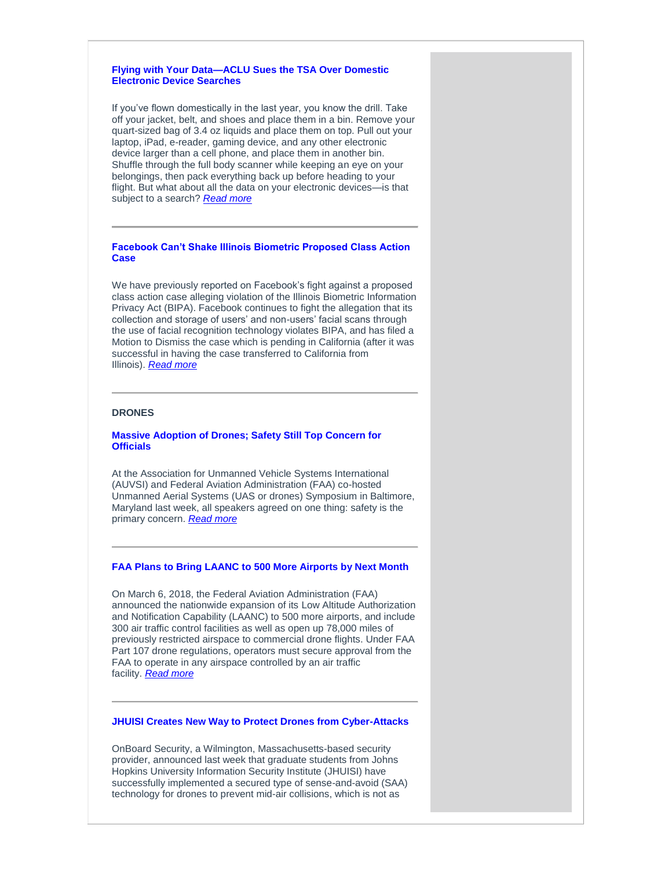## **[Flying with Your Data—ACLU Sues the TSA Over Domestic](https://protect-us.mimecast.com/s/kwgHCVOWD9F1YWWIKqv8O?domain=t2806904.omkt.co)  [Electronic Device Searches](https://protect-us.mimecast.com/s/c1ngCW61ERfvVMMi5HQQf?domain=t2806904.omkt.co)**

If you've flown domestically in the last year, you know the drill. Take off your jacket, belt, and shoes and place them in a bin. Remove your quart-sized bag of 3.4 oz liquids and place them on top. Pull out your laptop, iPad, e-reader, gaming device, and any other electronic device larger than a cell phone, and place them in another bin. Shuffle through the full body scanner while keeping an eye on your belongings, then pack everything back up before heading to your flight. But what about all the data on your electronic devices—is that subject to a search? *[Read more](https://protect-us.mimecast.com/s/Do9yCXDPGRf3W88FOpRXS?domain=t2806904.omkt.co)*

## **[Facebook Can't Shake Illinois Biometric Proposed Class Action](https://protect-us.mimecast.com/s/xzxQCYEZJRfPwnnTJMMQB?domain=t2806904.omkt.co)  [Case](https://protect-us.mimecast.com/s/xzxQCYEZJRfPwnnTJMMQB?domain=t2806904.omkt.co)**

We have previously reported on Facebook's fight against a proposed class action case alleging violation of the Illinois Biometric Information Privacy Act (BIPA). Facebook continues to fight the allegation that its collection and storage of users' and non-users' facial scans through the use of facial recognition technology violates BIPA, and has filed a Motion to Dismiss the case which is pending in California (after it was successful in having the case transferred to California from Illinois). *[Read more](https://protect-us.mimecast.com/s/Fq3TCZ6gKRfy0kkhLI3Fc?domain=t2806904.omkt.co)*

## <span id="page-1-0"></span>**DRONES**

## **[Massive Adoption of Drones; Safety Still Top Concern for](https://protect-us.mimecast.com/s/VXhLC1wMoDHKlPPsgpG0k?domain=t2806904.omkt.co)  [Officials](https://protect-us.mimecast.com/s/VXhLC1wMoDHKlPPsgpG0k?domain=t2806904.omkt.co)**

At the Association for Unmanned Vehicle Systems International (AUVSI) and Federal Aviation Administration (FAA) co-hosted Unmanned Aerial Systems (UAS or drones) Symposium in Baltimore, Maryland last week, all speakers agreed on one thing: safety is the primary concern. *[Read more](https://protect-us.mimecast.com/s/fyAhC2kXpECAgBBcRJQbe?domain=t2806904.omkt.co)*

### **[FAA Plans to Bring LAANC to 500 More Airports by Next Month](https://protect-us.mimecast.com/s/qdi4C313qGhVOyySNOKxd?domain=t2806904.omkt.co)**

On March 6, 2018, the Federal Aviation Administration (FAA) announced the nationwide expansion of its Low Altitude Authorization and Notification Capability (LAANC) to 500 more airports, and include 300 air traffic control facilities as well as open up 78,000 miles of previously restricted airspace to commercial drone flights. Under FAA Part 107 drone regulations, operators must secure approval from the FAA to operate in any airspace controlled by an air traffic facility. *[Read more](https://protect-us.mimecast.com/s/EAeFC4x2rJiGqDDsmX0FF?domain=t2806904.omkt.co)*

## **[JHUISI Creates New Way to Protect Drones from Cyber-Attacks](https://protect-us.mimecast.com/s/d-j5C5yMvguO2XXuZuKvD?domain=t2806904.omkt.co)**

OnBoard Security, a Wilmington, Massachusetts-based security provider, announced last week that graduate students from Johns Hopkins University Information Security Institute (JHUISI) have successfully implemented a secured type of sense-and-avoid (SAA) technology for drones to prevent mid-air collisions, which is not as